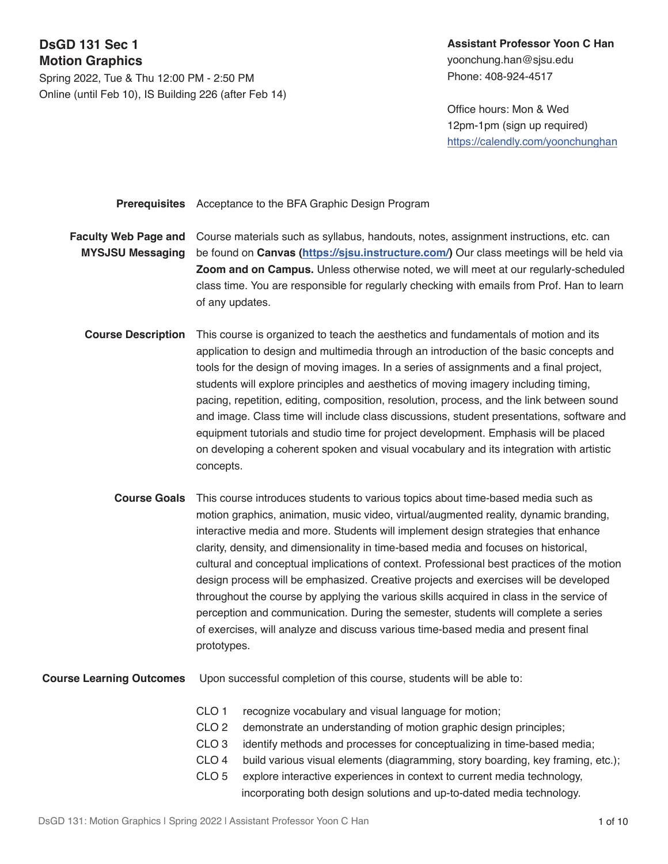# **DsGD 131 Sec 1 Motion Graphics**

Spring 2022, Tue & Thu 12:00 PM - 2:50 PM Online (until Feb 10), IS Building 226 (after Feb 14)

## **Assistant Professor Yoon C Han**  yoonchung.han@sjsu.edu Phone: 408-924-4517

Office hours: Mon & Wed 12pm-1pm (sign up required) <https://calendly.com/yoonchunghan>

**Prerequisites** Acceptance to the BFA Graphic Design Program

**Faculty Web Page and MYSJSU Messaging** Course materials such as syllabus, handouts, notes, assignment instructions, etc. can be found on **Canvas [\(https://sjsu.instructure.com/\)](https://sjsu.instructure.com/courses/1479795)** Our class meetings will be held via **Zoom and on Campus.** Unless otherwise noted, we will meet at our regularly-scheduled class time. You are responsible for regularly checking with emails from Prof. Han to learn of any updates.

- **Course Description** This course is organized to teach the aesthetics and fundamentals of motion and its application to design and multimedia through an introduction of the basic concepts and tools for the design of moving images. In a series of assignments and a final project, students will explore principles and aesthetics of moving imagery including timing, pacing, repetition, editing, composition, resolution, process, and the link between sound and image. Class time will include class discussions, student presentations, software and equipment tutorials and studio time for project development. Emphasis will be placed on developing a coherent spoken and visual vocabulary and its integration with artistic concepts.
	- **Course Goals** This course introduces students to various topics about time-based media such as motion graphics, animation, music video, virtual/augmented reality, dynamic branding, interactive media and more. Students will implement design strategies that enhance clarity, density, and dimensionality in time-based media and focuses on historical, cultural and conceptual implications of context. Professional best practices of the motion design process will be emphasized. Creative projects and exercises will be developed throughout the course by applying the various skills acquired in class in the service of perception and communication. During the semester, students will complete a series of exercises, will analyze and discuss various time-based media and present final prototypes.

**Course Learning Outcomes** Upon successful completion of this course, students will be able to:

- CLO 1 recognize vocabulary and visual language for motion;
- CLO 2 demonstrate an understanding of motion graphic design principles;
- CLO 3 identify methods and processes for conceptualizing in time-based media;
- CLO 4 build various visual elements (diagramming, story boarding, key framing, etc.);
- CLO 5 explore interactive experiences in context to current media technology, incorporating both design solutions and up-to-dated media technology.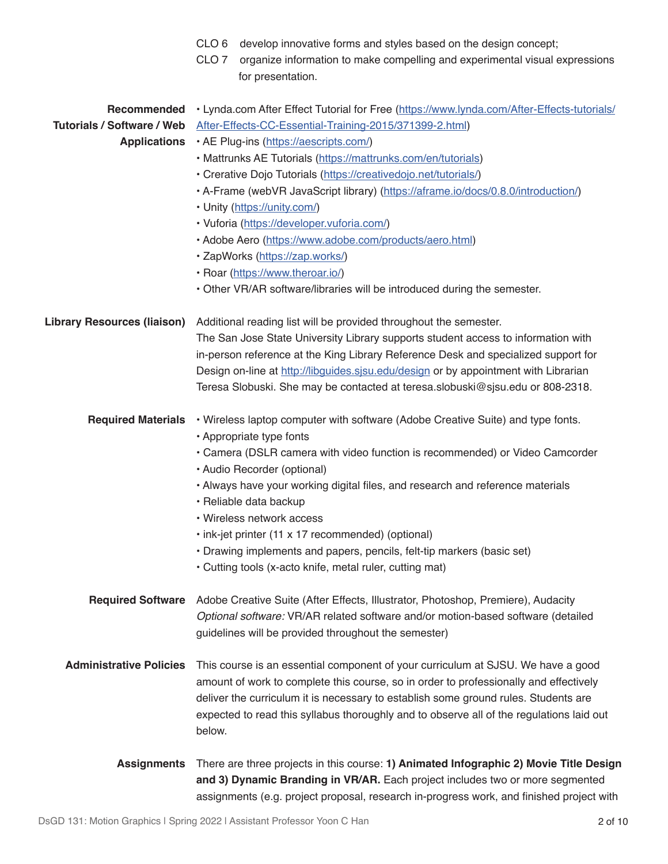|                                    | CLO <sub>6</sub><br>develop innovative forms and styles based on the design concept;            |  |  |  |
|------------------------------------|-------------------------------------------------------------------------------------------------|--|--|--|
|                                    | CLO <sub>7</sub><br>organize information to make compelling and experimental visual expressions |  |  |  |
|                                    | for presentation.                                                                               |  |  |  |
| Recommended                        | • Lynda.com After Effect Tutorial for Free (https://www.lynda.com/After-Effects-tutorials/      |  |  |  |
| <b>Tutorials / Software / Web</b>  | After-Effects-CC-Essential-Training-2015/371399-2.html)                                         |  |  |  |
| <b>Applications</b>                | • AE Plug-ins (https://aescripts.com/)                                                          |  |  |  |
|                                    | • Mattrunks AE Tutorials (https://mattrunks.com/en/tutorials)                                   |  |  |  |
|                                    | • Crerative Dojo Tutorials (https://creativedojo.net/tutorials/)                                |  |  |  |
|                                    | • A-Frame (webVR JavaScript library) (https://aframe.io/docs/0.8.0/introduction/)               |  |  |  |
|                                    | • Unity (https://unity.com/)                                                                    |  |  |  |
|                                    | · Vuforia (https://developer.vuforia.com/)                                                      |  |  |  |
|                                    | • Adobe Aero (https://www.adobe.com/products/aero.html)                                         |  |  |  |
|                                    |                                                                                                 |  |  |  |
|                                    | · ZapWorks (https://zap.works/)                                                                 |  |  |  |
|                                    | · Roar (https://www.theroar.io/)                                                                |  |  |  |
|                                    | • Other VR/AR software/libraries will be introduced during the semester.                        |  |  |  |
| <b>Library Resources (liaison)</b> | Additional reading list will be provided throughout the semester.                               |  |  |  |
|                                    | The San Jose State University Library supports student access to information with               |  |  |  |
|                                    | in-person reference at the King Library Reference Desk and specialized support for              |  |  |  |
|                                    | Design on-line at http://libguides.sjsu.edu/design or by appointment with Librarian             |  |  |  |
|                                    | Teresa Slobuski. She may be contacted at teresa.slobuski@sjsu.edu or 808-2318.                  |  |  |  |
| <b>Required Materials</b>          | • Wireless laptop computer with software (Adobe Creative Suite) and type fonts.                 |  |  |  |
|                                    | • Appropriate type fonts                                                                        |  |  |  |
|                                    | • Camera (DSLR camera with video function is recommended) or Video Camcorder                    |  |  |  |
|                                    | · Audio Recorder (optional)                                                                     |  |  |  |
|                                    | . Always have your working digital files, and research and reference materials                  |  |  |  |
|                                    | · Reliable data backup                                                                          |  |  |  |
|                                    | • Wireless network access                                                                       |  |  |  |
|                                    | · ink-jet printer (11 x 17 recommended) (optional)                                              |  |  |  |
|                                    | • Drawing implements and papers, pencils, felt-tip markers (basic set)                          |  |  |  |
|                                    | • Cutting tools (x-acto knife, metal ruler, cutting mat)                                        |  |  |  |
|                                    |                                                                                                 |  |  |  |
| <b>Required Software</b>           | Adobe Creative Suite (After Effects, Illustrator, Photoshop, Premiere), Audacity                |  |  |  |
|                                    | Optional software: VR/AR related software and/or motion-based software (detailed                |  |  |  |
|                                    | guidelines will be provided throughout the semester)                                            |  |  |  |
|                                    |                                                                                                 |  |  |  |
| <b>Administrative Policies</b>     | This course is an essential component of your curriculum at SJSU. We have a good                |  |  |  |
|                                    | amount of work to complete this course, so in order to professionally and effectively           |  |  |  |
|                                    | deliver the curriculum it is necessary to establish some ground rules. Students are             |  |  |  |
|                                    | expected to read this syllabus thoroughly and to observe all of the regulations laid out        |  |  |  |
|                                    | below.                                                                                          |  |  |  |
| <b>Assignments</b>                 | There are three projects in this course: 1) Animated Infographic 2) Movie Title Design          |  |  |  |
|                                    | and 3) Dynamic Branding in VR/AR. Each project includes two or more segmented                   |  |  |  |
|                                    | assignments (e.g. project proposal, research in-progress work, and finished project with        |  |  |  |
|                                    |                                                                                                 |  |  |  |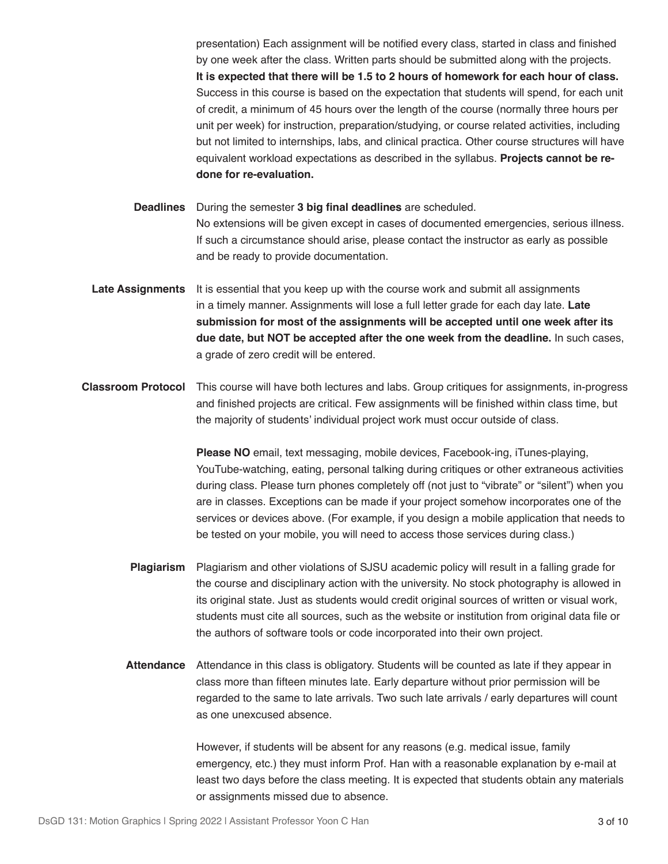presentation) Each assignment will be notified every class, started in class and finished by one week after the class. Written parts should be submitted along with the projects. **It is expected that there will be 1.5 to 2 hours of homework for each hour of class.** Success in this course is based on the expectation that students will spend, for each unit of credit, a minimum of 45 hours over the length of the course (normally three hours per unit per week) for instruction, preparation/studying, or course related activities, including but not limited to internships, labs, and clinical practica. Other course structures will have equivalent workload expectations as described in the syllabus. **Projects cannot be redone for re-evaluation.**

**Deadlines** During the semester **3 big final deadlines** are scheduled. No extensions will be given except in cases of documented emergencies, serious illness. If such a circumstance should arise, please contact the instructor as early as possible and be ready to provide documentation.

- **Late Assignments** It is essential that you keep up with the course work and submit all assignments in a timely manner. Assignments will lose a full letter grade for each day late. **Late submission for most of the assignments will be accepted until one week after its due date, but NOT be accepted after the one week from the deadline.** In such cases, a grade of zero credit will be entered.
- **Classroom Protocol** This course will have both lectures and labs. Group critiques for assignments, in-progress and finished projects are critical. Few assignments will be finished within class time, but the majority of students' individual project work must occur outside of class.

**Please NO** email, text messaging, mobile devices, Facebook-ing, iTunes-playing, YouTube-watching, eating, personal talking during critiques or other extraneous activities during class. Please turn phones completely off (not just to "vibrate" or "silent") when you are in classes. Exceptions can be made if your project somehow incorporates one of the services or devices above. (For example, if you design a mobile application that needs to be tested on your mobile, you will need to access those services during class.)

- **Plagiarism**  Plagiarism and other violations of SJSU academic policy will result in a falling grade for the course and disciplinary action with the university. No stock photography is allowed in its original state. Just as students would credit original sources of written or visual work, students must cite all sources, such as the website or institution from original data file or the authors of software tools or code incorporated into their own project.
- **Attendance** Attendance in this class is obligatory. Students will be counted as late if they appear in class more than fifteen minutes late. Early departure without prior permission will be regarded to the same to late arrivals. Two such late arrivals / early departures will count as one unexcused absence.

However, if students will be absent for any reasons (e.g. medical issue, family emergency, etc.) they must inform Prof. Han with a reasonable explanation by e-mail at least two days before the class meeting. It is expected that students obtain any materials or assignments missed due to absence.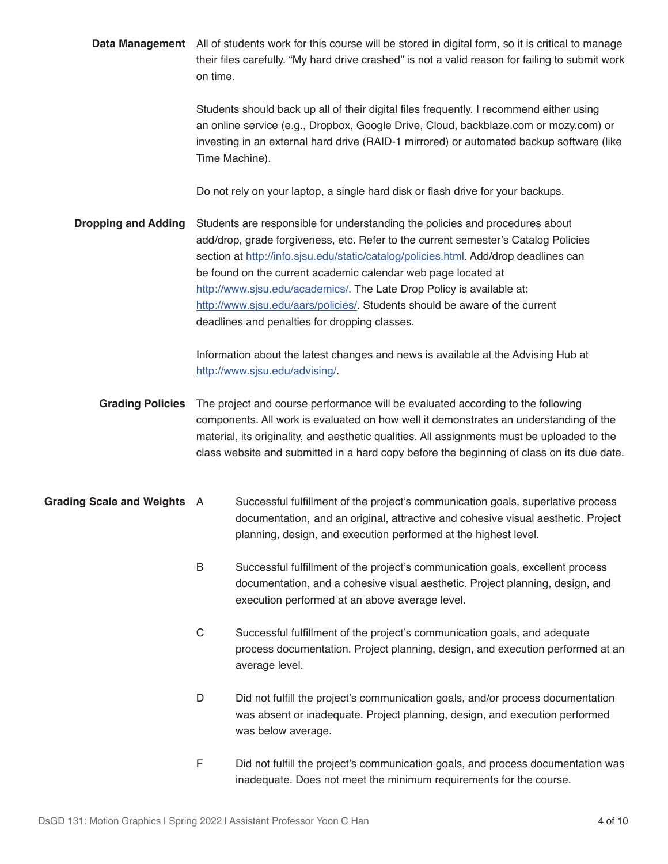**Data Management** All of students work for this course will be stored in digital form, so it is critical to manage **Dropping and Adding Grading Policies Grading Scale and Weights** their files carefully. "My hard drive crashed" is not a valid reason for failing to submit work on time. Students should back up all of their digital files frequently. I recommend either using an online service (e.g., Dropbox, Google Drive, Cloud, backblaze.com or mozy.com) or investing in an external hard drive (RAID-1 mirrored) or automated backup software (like Time Machine). Do not rely on your laptop, a single hard disk or flash drive for your backups. Students are responsible for understanding the policies and procedures about add/drop, grade forgiveness, etc. Refer to the current semester's Catalog Policies section at [http://info.sjsu.edu/static/catalog/policies.html.](http://info.sjsu.edu/static/catalog/policies.html) Add/drop deadlines can be found on the current academic calendar web page located at [http://www.sjsu.edu/academics/.](http://www.sjsu.edu/academics/) The Late Drop Policy is available at: <http://www.sjsu.edu/aars/policies/>. Students should be aware of the current deadlines and penalties for dropping classes. Information about the latest changes and news is available at the Advising Hub at <http://www.sjsu.edu/advising/>. The project and course performance will be evaluated according to the following components. All work is evaluated on how well it demonstrates an understanding of the material, its originality, and aesthetic qualities. All assignments must be uploaded to the class website and submitted in a hard copy before the beginning of class on its due date. A Successful fulfillment of the project's communication goals, superlative process documentation, and an original, attractive and cohesive visual aesthetic. Project planning, design, and execution performed at the highest level. B Successful fulfillment of the project's communication goals, excellent process documentation, and a cohesive visual aesthetic. Project planning, design, and execution performed at an above average level. C Successful fulfillment of the project's communication goals, and adequate process documentation. Project planning, design, and execution performed at an average level. D Did not fulfill the project's communication goals, and/or process documentation was absent or inadequate. Project planning, design, and execution performed was below average.

> F Did not fulfill the project's communication goals, and process documentation was inadequate. Does not meet the minimum requirements for the course.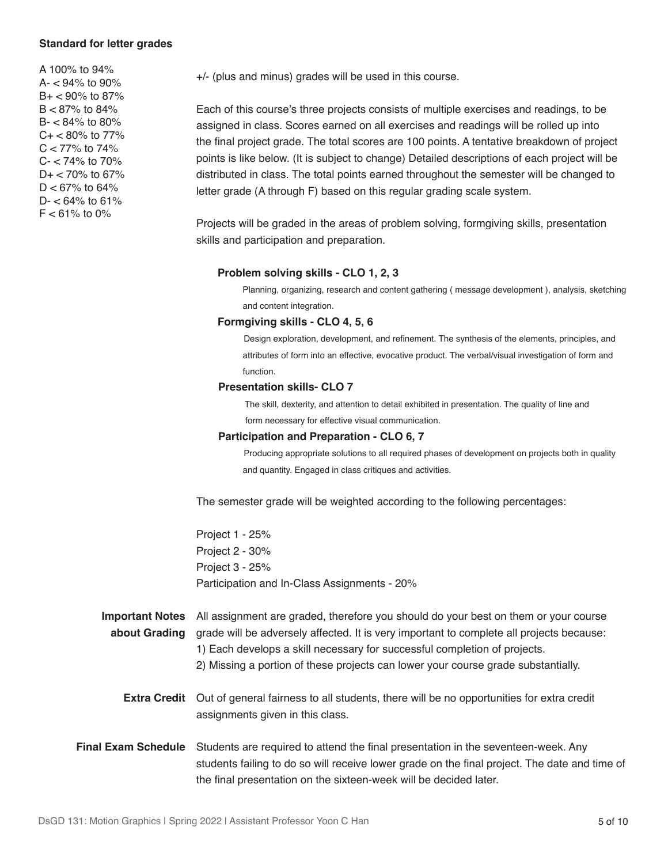### **Standard for letter grades**

A 100% to 94%  $A - 94\%$  to 90%  $B + < 90\%$  to 87%  $B < 87\%$  to 84% B- < 84% to 80%  $C + < 80\%$  to 77%  $C < 77\%$  to 74% C- < 74% to 70%  $D+ < 70\%$  to 67%  $D < 67\%$  to 64%  $D - < 64\%$  to 61%  $F < 61\%$  to 0%

+/- (plus and minus) grades will be used in this course.

Each of this course's three projects consists of multiple exercises and readings, to be assigned in class. Scores earned on all exercises and readings will be rolled up into the final project grade. The total scores are 100 points. A tentative breakdown of project points is like below. (It is subject to change) Detailed descriptions of each project will be distributed in class. The total points earned throughout the semester will be changed to letter grade (A through F) based on this regular grading scale system.

Projects will be graded in the areas of problem solving, formgiving skills, presentation skills and participation and preparation.

#### **Problem solving skills - CLO 1, 2, 3**

 Planning, organizing, research and content gathering ( message development ), analysis, sketching and content integration.

#### **Formgiving skills - CLO 4, 5, 6**

 Design exploration, development, and refinement. The synthesis of the elements, principles, and attributes of form into an effective, evocative product. The verbal/visual investigation of form and function.

### **Presentation skills- CLO 7**

The skill, dexterity, and attention to detail exhibited in presentation. The quality of line and form necessary for effective visual communication.

### **Participation and Preparation - CLO 6, 7**

 Producing appropriate solutions to all required phases of development on projects both in quality and quantity. Engaged in class critiques and activities.

The semester grade will be weighted according to the following percentages:

Project 1 - 25% Project 2 - 30% Project 3 - 25% Participation and In-Class Assignments - 20%

**Important Notes about Grading**  All assignment are graded, therefore you should do your best on them or your course grade will be adversely affected. It is very important to complete all projects because: 1) Each develops a skill necessary for successful completion of projects.

- 2) Missing a portion of these projects can lower your course grade substantially.
- **Extra Credit** Out of general fairness to all students, there will be no opportunities for extra credit assignments given in this class.
- **Final Exam Schedule** Students are required to attend the final presentation in the seventeen-week. Any students failing to do so will receive lower grade on the final project. The date and time of the final presentation on the sixteen-week will be decided later.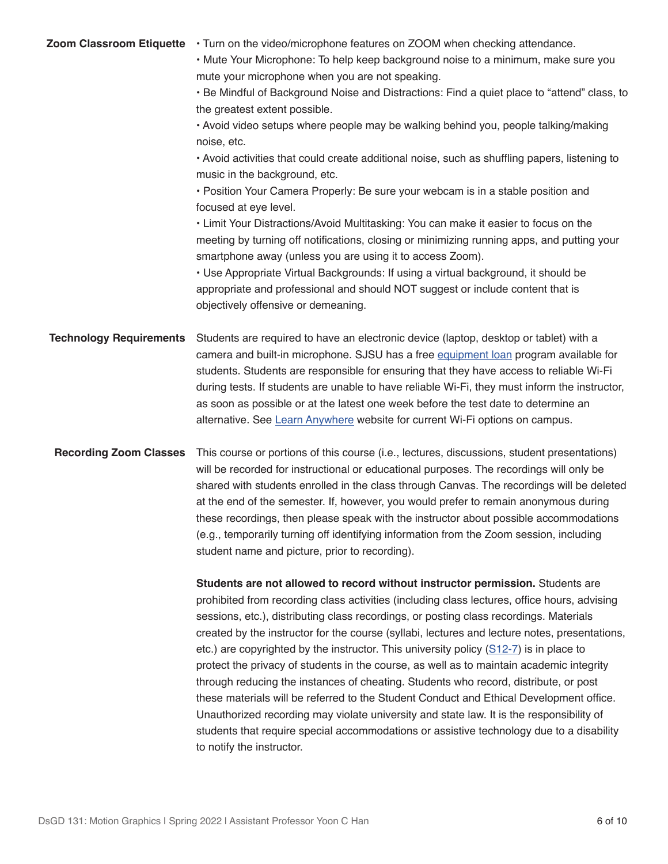| Zoom Classroom Etiquette       | • Turn on the video/microphone features on ZOOM when checking attendance.<br>. Mute Your Microphone: To help keep background noise to a minimum, make sure you<br>mute your microphone when you are not speaking.<br>• Be Mindful of Background Noise and Distractions: Find a quiet place to "attend" class, to<br>the greatest extent possible.<br>. Avoid video setups where people may be walking behind you, people talking/making<br>noise, etc.<br>• Avoid activities that could create additional noise, such as shuffling papers, listening to<br>music in the background, etc.<br>• Position Your Camera Properly: Be sure your webcam is in a stable position and<br>focused at eye level.<br>• Limit Your Distractions/Avoid Multitasking: You can make it easier to focus on the<br>meeting by turning off notifications, closing or minimizing running apps, and putting your<br>smartphone away (unless you are using it to access Zoom).<br>• Use Appropriate Virtual Backgrounds: If using a virtual background, it should be<br>appropriate and professional and should NOT suggest or include content that is<br>objectively offensive or demeaning. |
|--------------------------------|-------------------------------------------------------------------------------------------------------------------------------------------------------------------------------------------------------------------------------------------------------------------------------------------------------------------------------------------------------------------------------------------------------------------------------------------------------------------------------------------------------------------------------------------------------------------------------------------------------------------------------------------------------------------------------------------------------------------------------------------------------------------------------------------------------------------------------------------------------------------------------------------------------------------------------------------------------------------------------------------------------------------------------------------------------------------------------------------------------------------------------------------------------------------------|
| <b>Technology Requirements</b> | Students are required to have an electronic device (laptop, desktop or tablet) with a<br>camera and built-in microphone. SJSU has a free equipment loan program available for<br>students. Students are responsible for ensuring that they have access to reliable Wi-Fi<br>during tests. If students are unable to have reliable Wi-Fi, they must inform the instructor,<br>as soon as possible or at the latest one week before the test date to determine an<br>alternative. See Learn Anywhere website for current Wi-Fi options on campus.                                                                                                                                                                                                                                                                                                                                                                                                                                                                                                                                                                                                                         |
| <b>Recording Zoom Classes</b>  | This course or portions of this course (i.e., lectures, discussions, student presentations)<br>will be recorded for instructional or educational purposes. The recordings will only be<br>shared with students enrolled in the class through Canvas. The recordings will be deleted<br>at the end of the semester. If, however, you would prefer to remain anonymous during<br>these recordings, then please speak with the instructor about possible accommodations<br>(e.g., temporarily turning off identifying information from the Zoom session, including<br>student name and picture, prior to recording).                                                                                                                                                                                                                                                                                                                                                                                                                                                                                                                                                       |
|                                | Students are not allowed to record without instructor permission. Students are<br>prohibited from recording class activities (including class lectures, office hours, advising<br>sessions, etc.), distributing class recordings, or posting class recordings. Materials<br>created by the instructor for the course (syllabi, lectures and lecture notes, presentations,<br>etc.) are copyrighted by the instructor. This university policy $(S12-7)$ is in place to<br>protect the privacy of students in the course, as well as to maintain academic integrity<br>through reducing the instances of cheating. Students who record, distribute, or post<br>these materials will be referred to the Student Conduct and Ethical Development office.<br>Unauthorized recording may violate university and state law. It is the responsibility of<br>students that require special accommodations or assistive technology due to a disability<br>to notify the instructor.                                                                                                                                                                                               |
|                                |                                                                                                                                                                                                                                                                                                                                                                                                                                                                                                                                                                                                                                                                                                                                                                                                                                                                                                                                                                                                                                                                                                                                                                         |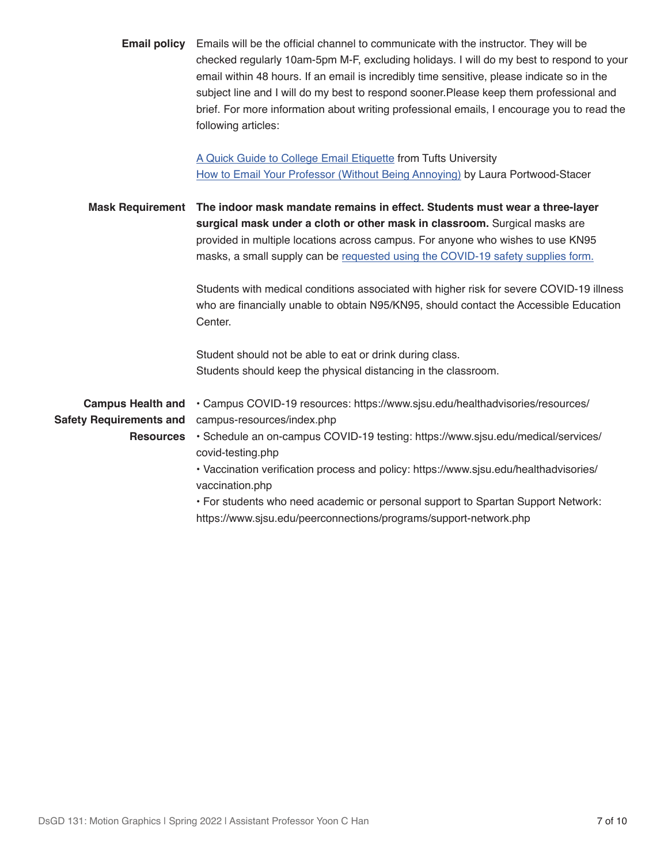|                                                            | <b>Email policy</b> Emails will be the official channel to communicate with the instructor. They will be<br>checked regularly 10am-5pm M-F, excluding holidays. I will do my best to respond to your<br>email within 48 hours. If an email is incredibly time sensitive, please indicate so in the<br>subject line and I will do my best to respond sooner. Please keep them professional and<br>brief. For more information about writing professional emails, I encourage you to read the<br>following articles: |
|------------------------------------------------------------|--------------------------------------------------------------------------------------------------------------------------------------------------------------------------------------------------------------------------------------------------------------------------------------------------------------------------------------------------------------------------------------------------------------------------------------------------------------------------------------------------------------------|
|                                                            | A Quick Guide to College Email Etiquette from Tufts University<br>How to Email Your Professor (Without Being Annoying) by Laura Portwood-Stacer                                                                                                                                                                                                                                                                                                                                                                    |
|                                                            | Mask Requirement The indoor mask mandate remains in effect. Students must wear a three-layer<br>surgical mask under a cloth or other mask in classroom. Surgical masks are<br>provided in multiple locations across campus. For anyone who wishes to use KN95<br>masks, a small supply can be requested using the COVID-19 safety supplies form.                                                                                                                                                                   |
|                                                            | Students with medical conditions associated with higher risk for severe COVID-19 illness<br>who are financially unable to obtain N95/KN95, should contact the Accessible Education<br>Center.                                                                                                                                                                                                                                                                                                                      |
|                                                            | Student should not be able to eat or drink during class.<br>Students should keep the physical distancing in the classroom.                                                                                                                                                                                                                                                                                                                                                                                         |
| <b>Campus Health and</b><br><b>Safety Requirements and</b> | · Campus COVID-19 resources: https://www.sjsu.edu/healthadvisories/resources/<br>campus-resources/index.php                                                                                                                                                                                                                                                                                                                                                                                                        |
| <b>Resources</b>                                           | · Schedule an on-campus COVID-19 testing: https://www.sjsu.edu/medical/services/<br>covid-testing.php                                                                                                                                                                                                                                                                                                                                                                                                              |
|                                                            | · Vaccination verification process and policy: https://www.sjsu.edu/healthadvisories/<br>vaccination.php                                                                                                                                                                                                                                                                                                                                                                                                           |
|                                                            | • For students who need academic or personal support to Spartan Support Network:<br>https://www.sjsu.edu/peerconnections/programs/support-network.php                                                                                                                                                                                                                                                                                                                                                              |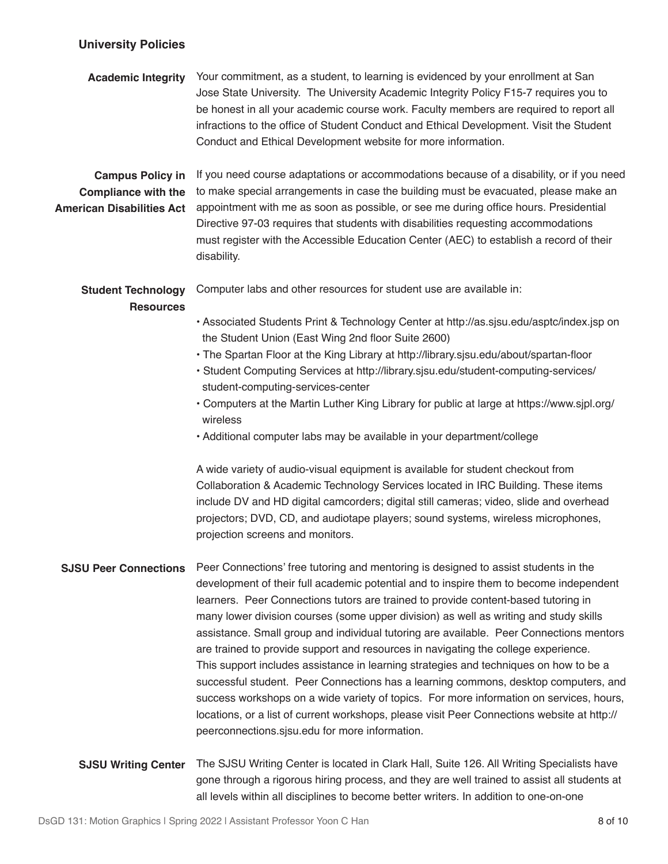## **University Policies**

| <b>Academic Integrity</b>                                                                 | Your commitment, as a student, to learning is evidenced by your enrollment at San<br>Jose State University. The University Academic Integrity Policy F15-7 requires you to<br>be honest in all your academic course work. Faculty members are required to report all<br>infractions to the office of Student Conduct and Ethical Development. Visit the Student<br>Conduct and Ethical Development website for more information.                                                                                                                                                                                                                                                                                                                                                                                                                                                                                                                                                                                          |  |  |  |  |
|-------------------------------------------------------------------------------------------|---------------------------------------------------------------------------------------------------------------------------------------------------------------------------------------------------------------------------------------------------------------------------------------------------------------------------------------------------------------------------------------------------------------------------------------------------------------------------------------------------------------------------------------------------------------------------------------------------------------------------------------------------------------------------------------------------------------------------------------------------------------------------------------------------------------------------------------------------------------------------------------------------------------------------------------------------------------------------------------------------------------------------|--|--|--|--|
| <b>Campus Policy in</b><br><b>Compliance with the</b><br><b>American Disabilities Act</b> | If you need course adaptations or accommodations because of a disability, or if you need<br>to make special arrangements in case the building must be evacuated, please make an<br>appointment with me as soon as possible, or see me during office hours. Presidential<br>Directive 97-03 requires that students with disabilities requesting accommodations<br>must register with the Accessible Education Center (AEC) to establish a record of their<br>disability.                                                                                                                                                                                                                                                                                                                                                                                                                                                                                                                                                   |  |  |  |  |
| <b>Student Technology</b><br><b>Resources</b>                                             | Computer labs and other resources for student use are available in:<br>• Associated Students Print & Technology Center at http://as.sjsu.edu/asptc/index.jsp on<br>the Student Union (East Wing 2nd floor Suite 2600)<br>. The Spartan Floor at the King Library at http://library.sjsu.edu/about/spartan-floor<br>· Student Computing Services at http://library.sjsu.edu/student-computing-services/<br>student-computing-services-center<br>. Computers at the Martin Luther King Library for public at large at https://www.sjpl.org/<br>wireless<br>• Additional computer labs may be available in your department/college<br>A wide variety of audio-visual equipment is available for student checkout from<br>Collaboration & Academic Technology Services located in IRC Building. These items<br>include DV and HD digital camcorders; digital still cameras; video, slide and overhead<br>projectors; DVD, CD, and audiotape players; sound systems, wireless microphones,<br>projection screens and monitors. |  |  |  |  |
| <b>SJSU Peer Connections</b>                                                              | Peer Connections' free tutoring and mentoring is designed to assist students in the<br>development of their full academic potential and to inspire them to become independent<br>learners. Peer Connections tutors are trained to provide content-based tutoring in<br>many lower division courses (some upper division) as well as writing and study skills<br>assistance. Small group and individual tutoring are available. Peer Connections mentors<br>are trained to provide support and resources in navigating the college experience.<br>This support includes assistance in learning strategies and techniques on how to be a<br>successful student. Peer Connections has a learning commons, desktop computers, and<br>success workshops on a wide variety of topics. For more information on services, hours,<br>locations, or a list of current workshops, please visit Peer Connections website at http://<br>peerconnections.sjsu.edu for more information.                                                 |  |  |  |  |
| <b>SJSU Writing Center</b>                                                                | The SJSU Writing Center is located in Clark Hall, Suite 126. All Writing Specialists have<br>gone through a rigorous hiring process, and they are well trained to assist all students at                                                                                                                                                                                                                                                                                                                                                                                                                                                                                                                                                                                                                                                                                                                                                                                                                                  |  |  |  |  |

all levels within all disciplines to become better writers. In addition to one-on-one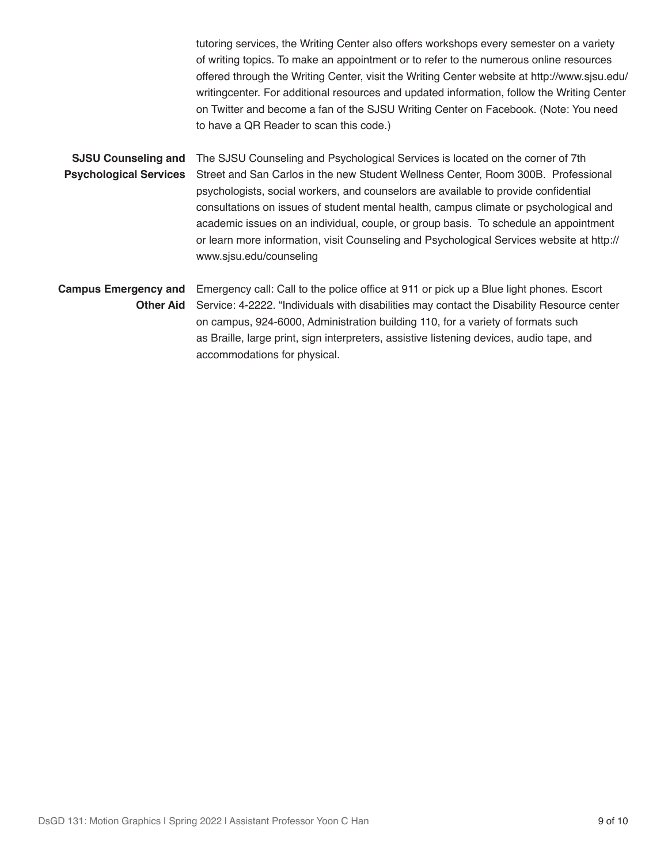tutoring services, the Writing Center also offers workshops every semester on a variety of writing topics. To make an appointment or to refer to the numerous online resources offered through the Writing Center, visit the Writing Center website at http://www.sjsu.edu/ writingcenter. For additional resources and updated information, follow the Writing Center on Twitter and become a fan of the SJSU Writing Center on Facebook. (Note: You need to have a QR Reader to scan this code.)

**SJSU Counseling and Psychological Services** The SJSU Counseling and Psychological Services is located on the corner of 7th Street and San Carlos in the new Student Wellness Center, Room 300B. Professional psychologists, social workers, and counselors are available to provide confidential consultations on issues of student mental health, campus climate or psychological and academic issues on an individual, couple, or group basis. To schedule an appointment or learn more information, visit Counseling and Psychological Services website at http:// www.sjsu.edu/counseling

**Campus Emergency and Other Aid** Emergency call: Call to the police office at 911 or pick up a Blue light phones. Escort Service: 4-2222. "Individuals with disabilities may contact the Disability Resource center on campus, 924-6000, Administration building 110, for a variety of formats such as Braille, large print, sign interpreters, assistive listening devices, audio tape, and accommodations for physical.